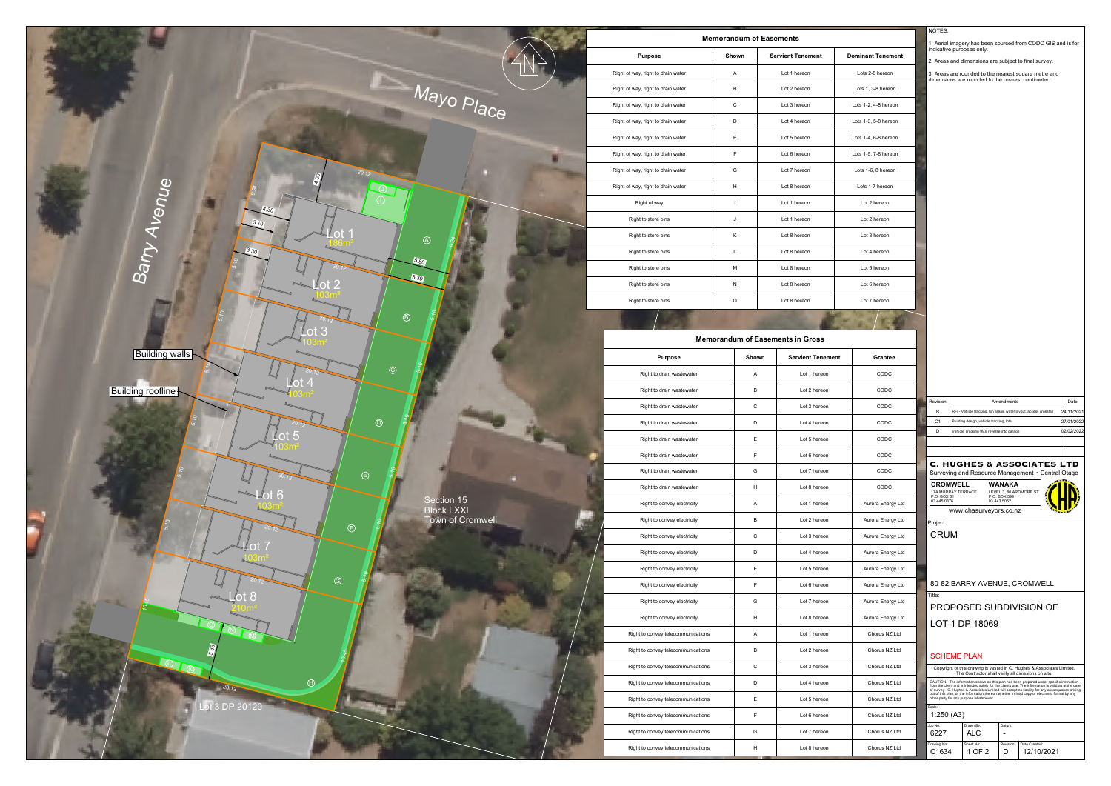

|                   | 1. Aerial imagery has been sourced from CODC GIS and is for                       |                                                                                                                                                                                                                                                                                                                                                          |  |                                                                                      |                     |                                                                                               |                          |  |  |  |
|-------------------|-----------------------------------------------------------------------------------|----------------------------------------------------------------------------------------------------------------------------------------------------------------------------------------------------------------------------------------------------------------------------------------------------------------------------------------------------------|--|--------------------------------------------------------------------------------------|---------------------|-----------------------------------------------------------------------------------------------|--------------------------|--|--|--|
| nant Tenement     | indicative purposes only.<br>2. Areas and dimensions are subject to final survey. |                                                                                                                                                                                                                                                                                                                                                          |  |                                                                                      |                     |                                                                                               |                          |  |  |  |
| ts 2-8 hereon     |                                                                                   |                                                                                                                                                                                                                                                                                                                                                          |  |                                                                                      |                     | 3. Areas are rounded to the nearest square metre and                                          |                          |  |  |  |
| s 1, 3-8 hereon   |                                                                                   |                                                                                                                                                                                                                                                                                                                                                          |  | dimensions are rounded to the nearest centimeter.                                    |                     |                                                                                               |                          |  |  |  |
| 1-2, 4-8 hereon   |                                                                                   |                                                                                                                                                                                                                                                                                                                                                          |  |                                                                                      |                     |                                                                                               |                          |  |  |  |
| 1-3, 5-8 hereon   |                                                                                   |                                                                                                                                                                                                                                                                                                                                                          |  |                                                                                      |                     |                                                                                               |                          |  |  |  |
| 1-4, 6-8 hereon   |                                                                                   |                                                                                                                                                                                                                                                                                                                                                          |  |                                                                                      |                     |                                                                                               |                          |  |  |  |
| 1-5, 7-8 hereon   |                                                                                   |                                                                                                                                                                                                                                                                                                                                                          |  |                                                                                      |                     |                                                                                               |                          |  |  |  |
| s 1-6, 8 hereon   |                                                                                   |                                                                                                                                                                                                                                                                                                                                                          |  |                                                                                      |                     |                                                                                               |                          |  |  |  |
| ts 1-7 hereon     |                                                                                   |                                                                                                                                                                                                                                                                                                                                                          |  |                                                                                      |                     |                                                                                               |                          |  |  |  |
| ot 2 hereon.      |                                                                                   |                                                                                                                                                                                                                                                                                                                                                          |  |                                                                                      |                     |                                                                                               |                          |  |  |  |
| ot 2 hereon       |                                                                                   |                                                                                                                                                                                                                                                                                                                                                          |  |                                                                                      |                     |                                                                                               |                          |  |  |  |
| ot 3 hereon.      |                                                                                   |                                                                                                                                                                                                                                                                                                                                                          |  |                                                                                      |                     |                                                                                               |                          |  |  |  |
| ot 4 hereon       |                                                                                   |                                                                                                                                                                                                                                                                                                                                                          |  |                                                                                      |                     |                                                                                               |                          |  |  |  |
| ot 5 hereon.      |                                                                                   |                                                                                                                                                                                                                                                                                                                                                          |  |                                                                                      |                     |                                                                                               |                          |  |  |  |
| ot 6 hereon.      |                                                                                   |                                                                                                                                                                                                                                                                                                                                                          |  |                                                                                      |                     |                                                                                               |                          |  |  |  |
| ot 7 hereon.      |                                                                                   |                                                                                                                                                                                                                                                                                                                                                          |  |                                                                                      |                     |                                                                                               |                          |  |  |  |
|                   |                                                                                   |                                                                                                                                                                                                                                                                                                                                                          |  |                                                                                      |                     |                                                                                               |                          |  |  |  |
|                   |                                                                                   |                                                                                                                                                                                                                                                                                                                                                          |  |                                                                                      |                     |                                                                                               |                          |  |  |  |
|                   |                                                                                   |                                                                                                                                                                                                                                                                                                                                                          |  |                                                                                      |                     |                                                                                               |                          |  |  |  |
| Grantee           |                                                                                   |                                                                                                                                                                                                                                                                                                                                                          |  |                                                                                      |                     |                                                                                               |                          |  |  |  |
| CODC              |                                                                                   |                                                                                                                                                                                                                                                                                                                                                          |  |                                                                                      |                     |                                                                                               |                          |  |  |  |
| CODC              |                                                                                   |                                                                                                                                                                                                                                                                                                                                                          |  |                                                                                      |                     |                                                                                               |                          |  |  |  |
| CODC              |                                                                                   | Revision<br>в                                                                                                                                                                                                                                                                                                                                            |  |                                                                                      | Amendments          | RFI - Vehicle tracking, bin areas, water layout, access crossfall                             | Date<br>24/11/2021       |  |  |  |
| CODC              |                                                                                   | C <sub>1</sub><br>D                                                                                                                                                                                                                                                                                                                                      |  | Building design, vehicle tracking, lots<br>Vehicle Tracking 99.8 reverse into garage |                     |                                                                                               | 27/01/2022<br>02/02/2022 |  |  |  |
| CODC              |                                                                                   |                                                                                                                                                                                                                                                                                                                                                          |  |                                                                                      |                     |                                                                                               |                          |  |  |  |
| CODC              |                                                                                   |                                                                                                                                                                                                                                                                                                                                                          |  |                                                                                      |                     |                                                                                               |                          |  |  |  |
| CODC              |                                                                                   | <b>C. HUGHES &amp; ASSOCIATES LTD</b><br>Surveying and Resource Management • Central Otago                                                                                                                                                                                                                                                               |  |                                                                                      |                     |                                                                                               |                          |  |  |  |
| CODC              |                                                                                   | <b>CROMWELL</b><br>WANAKA<br>17A MURRAY TERRACE<br>LEVEL 3, 80 ARDMORE ST<br>P.O. BOX 51<br>P.O. BOX 599                                                                                                                                                                                                                                                 |  |                                                                                      |                     |                                                                                               |                          |  |  |  |
| Aurora Energy Ltd |                                                                                   | 03 445 0376                                                                                                                                                                                                                                                                                                                                              |  | www.chasurveyors.co.nz                                                               | 03 443 5052         |                                                                                               |                          |  |  |  |
| Aurora Energy Ltd |                                                                                   | Project:                                                                                                                                                                                                                                                                                                                                                 |  |                                                                                      |                     |                                                                                               |                          |  |  |  |
| Aurora Energy Ltd |                                                                                   | <b>CRUM</b>                                                                                                                                                                                                                                                                                                                                              |  |                                                                                      |                     |                                                                                               |                          |  |  |  |
| Aurora Energy Ltd |                                                                                   |                                                                                                                                                                                                                                                                                                                                                          |  |                                                                                      |                     |                                                                                               |                          |  |  |  |
| Aurora Energy Ltd |                                                                                   |                                                                                                                                                                                                                                                                                                                                                          |  |                                                                                      |                     |                                                                                               |                          |  |  |  |
| Aurora Energy Ltd |                                                                                   | Title:                                                                                                                                                                                                                                                                                                                                                   |  |                                                                                      |                     | 80-82 BARRY AVENUE, CROMWELL                                                                  |                          |  |  |  |
| Aurora Energy Ltd |                                                                                   |                                                                                                                                                                                                                                                                                                                                                          |  |                                                                                      |                     | PROPOSED SUBDIVISION OF                                                                       |                          |  |  |  |
| Aurora Energy Ltd |                                                                                   |                                                                                                                                                                                                                                                                                                                                                          |  | LOT 1 DP 18069                                                                       |                     |                                                                                               |                          |  |  |  |
| Chorus NZ Ltd     |                                                                                   |                                                                                                                                                                                                                                                                                                                                                          |  |                                                                                      |                     |                                                                                               |                          |  |  |  |
| Chorus NZ Ltd     |                                                                                   |                                                                                                                                                                                                                                                                                                                                                          |  | <b>SCHEME PLAN</b>                                                                   |                     |                                                                                               |                          |  |  |  |
| Chorus NZ Ltd     |                                                                                   |                                                                                                                                                                                                                                                                                                                                                          |  |                                                                                      |                     | Copyright of this drawing is vested in C. Hughes & Associates Limited.                        |                          |  |  |  |
| Chorus NZ Ltd     |                                                                                   | The Contractor shall verify all dimesions on site.<br>CAUTION - The information shown on this plan has been prepared under specific instruction<br>from the client and is intended solely for the clients use. The information is valid as at the date<br>of survey. C. Hughes & Associates Limited will accept no liability for any consequence arising |  |                                                                                      |                     |                                                                                               |                          |  |  |  |
|                   |                                                                                   |                                                                                                                                                                                                                                                                                                                                                          |  | other party for any purpose whatsoever.                                              |                     | out of this plan, or the information thereon whether in hard copy or electronic format by any |                          |  |  |  |
| Chorus NZ Ltd     |                                                                                   | Scale:                                                                                                                                                                                                                                                                                                                                                   |  |                                                                                      |                     |                                                                                               |                          |  |  |  |
| Chorus NZ Ltd     |                                                                                   | 1:250 (A3)                                                                                                                                                                                                                                                                                                                                               |  |                                                                                      |                     |                                                                                               |                          |  |  |  |
| Chorus NZ Ltd     |                                                                                   | Job No:<br>6227<br>Drawing No:                                                                                                                                                                                                                                                                                                                           |  | Drawn By:<br>ALC<br>Sheet No:                                                        | Datum:<br>Revision: | Date Created:                                                                                 |                          |  |  |  |